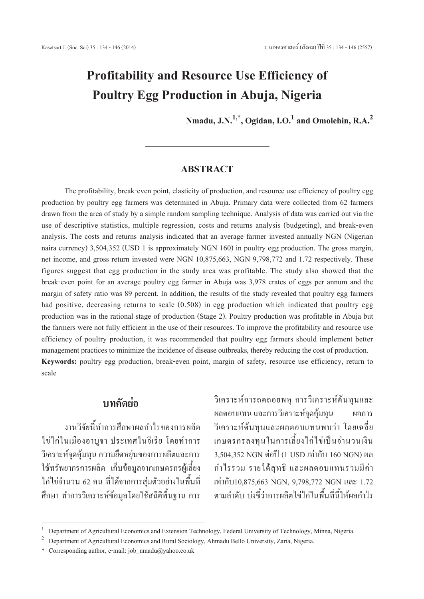# **Profitability and Resource Use Efficiencyof Poultry Egg Productionin Abuja, Nigeria**

**Nmadu,J.N.1,\*, Ogidan, I.O.<sup>1</sup> and Omolehin, R.A.<sup>2</sup>**

### **ABSTRACT**

The profitability, break-even point, elasticity of production, and resource use efficiency of poultry egg production by poultry egg farmers was determined in Abuja. Primary data were collected from 62 farmers drawn from the area of study by a simple random sampling technique. Analysis of data was carried out via the use of descriptive statistics, multiple regression, costs and returns analysis (budgeting), and break-even analysis. The costs and returns analysis indicated that an average farmer invested annually NGN (Nigerian naira currency) 3,504,352 (USD 1 is approximately NGN 160) in poultry egg production. The gross margin, net income, and gross return invested were NGN 10,875,663, NGN 9,798,772 and 1.72 respectively. These figures suggest that egg production in the study area was profitable. The study also showed that the break-even point for an average poultry egg farmer in Abuja was 3,978 crates of eggs per annum and the margin of safety ratio was 89 percent. In addition, the results of the study revealed that poultry egg farmers had positive, decreasing returns to scale (0.508) in egg production which indicated that poultry egg production was in the rational stage of production (Stage 2). Poultry production was profitable in Abuja but the farmers were not fully efficient in the use of their resources. To improve the profitability and resource use efficiency of poultry production, it was recommended that poultry egg farmers should implement better management practices to minimize the incidence of disease outbreaks, thereby reducing the cost of production. **Keywords:** poultry egg production, break-even point, margin of safety, resource use efficiency, return to scale

## **บทคัดย่อ**

งานวิจัยนี้ทำการศึกษาผลกำไรของการผลิต ไข่ไก่ในเมืองอาบูจา ประเทศไนจีเรีย โดยทำการ วิเคราะห์จุดคุ้มทุน ความยืดหยุ่นของการผลิตและการ ใช้ทรัพยากรการผลิต เก็บข้อมูลจากเกษตรกรผู้เลี้ยง ไก่ไข่จำนวน 62 คน ที่ได้จากการสุ่มตัวอย่างในพื้นที่ ศึกษา ทำการวิเคราะห์ข้อมูลโดยใช้สถิติพื้นฐาน การ วิเคราะห์การถดถอยพหุ การวิเคราะห์ต้นทุนและ ผลตอบแทน และการวิเคราะห์จุดคุ้มทุน ผลการ วิเคราะห์ต้นทุนและผลตอบแทนพบว่า โดยเฉลี่ย เกษตรกรลงทุนในการเลี้ยงไก่ไข่เป็นจำนวนเงิน 3,504,352 NGN ต่อปี (1 USD เท่ากับ 160 NGN) ผล กำไรรวม รายได้สุทธิ และผลตอบแทนรวมมีค่า เท่ากับ10,875,663 NGN, 9,798,772 NGN และ 1.72 ตามลำดับ บ่งชี้ว่าการผลิตไข่ไก่ในพื้นที่นี้ให้ผลกำไร

<sup>&</sup>lt;sup>1</sup> Department of Agricultural Economics and Extension Technology, Federal University of Technology, Minna, Nigeria.<br><sup>2</sup> Department of Agricultural Economics and Rural Sociology, Ahmadu Bello University, Zaria, Nigeria.

<sup>\*</sup> Corresponding author, e-mail: job\_nmadu@yahoo.co.uk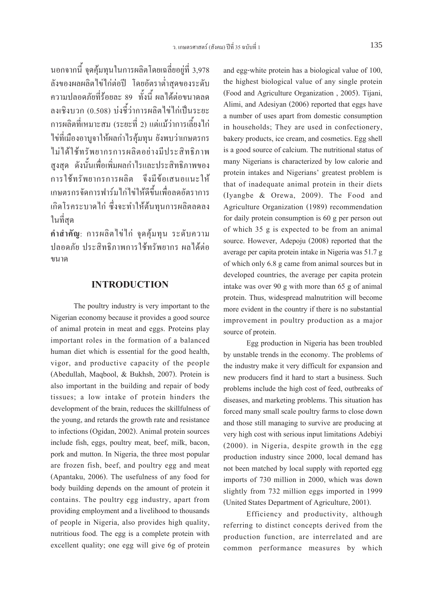นอกจากนี้ จุดคุ้มทุนในการผลิตโดยเฉลี่ยอยู่ที่ 3,978 ลังของผลผลิตไข่ไก่ต่อปี โดยอัตราต่ำสุดของระดับ ความปลอดภัยที่ร้อยละ 89 ทั้งนี้ ผลได้ต่อขนาดลด ลงเชิงบวก (0.508) บ่งชี้ว่าการผลิตไข่ไก่เป็นระยะ การผลิตที่เหมาะสม (ระยะที่ 2) แต่แม้ว่าการเลี้ยงไก่ ไข่ที่เมืองอาบูจาให้ผลกำไรคุ้มทุน ยังพบว่าเกษตรกร ไม่ได้ใช้ทรัพยากรการผลิตอย่างมีประสิทธิภาพ สูงสุด ดังนั้นเพื่อเพิ่มผลกำไรและประสิทธิภาพของ การใช้ทรัพยากรการผลิต จึงมีข้อเสนอแนะให้ เกษตรกรจัดการฟาร์มไก่ไข่ให้ดีขึ้นเพื่อลดอัตราการ เกิดโรคระบาดไก่ ซึ่งจะทำให้ต้นทุนการผลิตลดลง ในที่สุด

**คำสำคัญ**: การผลิตไข่ไก่ จุดคุ้มทุน ระดับความ ปลอดภัย ประสิทธิภาพการใช้ทรัพยากร ผลได้ต่อ ขนาด

#### **INTRODUCTION**

The poultry industry is very important to the Nigerian economy because it provides a good source of animal protein in meat and eggs. Proteins play important roles in the formation of a balanced human diet which is essential for the good health, vigor, and productive capacity of the people (Abedullah, Maqbool, & Bukhsh, 2007). Protein is also important in the building and repair of body tissues; a low intake of protein hinders the development of the brain, reduces the skillfulness of the young, and retards the growth rate and resistance to infections (Ogidan, 2002). Animal protein sources include fish, eggs, poultry meat, beef, milk, bacon, pork and mutton. In Nigeria, the three most popular are frozen fish, beef, and poultry egg and meat (Apantaku, 2006). The usefulness of any food for body building depends on the amount of protein it contains. The poultry egg industry, apart from providing employment and a livelihood to thousands of people in Nigeria, also provides high quality, nutritious food. The egg is a complete protein with excellent quality; one egg will give 6g of protein

and egg-white protein has a biological value of 100, the highest biological value of any single protein (Food and Agriculture Organization , 2005). Tijani, Alimi, and Adesiyan (2006) reported that eggs have a number of uses apart from domestic consumption in households; They are used in confectionery, bakery products, ice cream, and cosmetics. Egg shell is a good source of calcium. The nutritional status of many Nigerians is characterized by low calorie and protein intakes and Nigerians' greatest problem is that of inadequate animal protein in their diets (Iyangbe & Orewa, 2009). The Food and Agriculture Organization (1989) recommendation for daily protein consumption is 60 g per person out of which 35 g is expected to be from an animal source. However, Adepoju (2008) reported that the average per capita protein intake in Nigeria was 51.7 g of which only 6.8 g came from animal sources but in developed countries, the average per capita protein intake was over 90 g with more than 65 g of animal protein. Thus, widespread malnutrition will become more evident in the country if there is no substantial improvement in poultry production as a major source of protein.

Egg production in Nigeria has been troubled by unstable trends in the economy. The problems of the industry make it very difficult for expansion and new producers find it hard to start a business. Such problems include the high cost of feed, outbreaks of diseases, and marketing problems. This situation has forced many small scale poultry farms to close down and those still managing to survive are producing at very high cost with serious input limitations Adebiyi (2000). in Nigeria, despite growth in the egg production industry since 2000, local demand has not been matched by local supply with reported egg imports of 730 million in 2000, which was down slightly from 732 million eggs imported in 1999 (United States Department of Agriculture, 2001).

Efficiency and productivity, although referring to distinct concepts derived from the production function, are interrelated and are common performance measures by which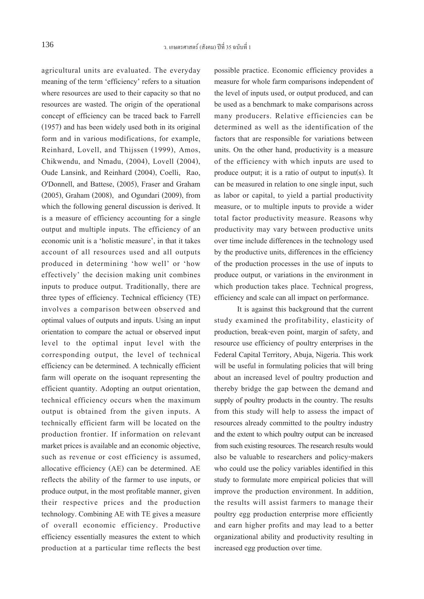agricultural units are evaluated. The everyday meaning of the term 'efficiency' refers to a situation where resources are used to their capacity so that no resources are wasted. The origin of the operational concept of efficiency can be traced back to Farrell (1957) and has been widely used both in its original form and in various modifications, for example, Reinhard, Lovell, and Thijssen (1999), Amos, Chikwendu, and Nmadu, (2004), Lovell (2004), Oude Lansink, and Reinhard (2004), Coelli, Rao, O'Donnell, and Battese, (2005), Fraser and Graham (2005), Graham (2008), and Ogundari (2009), from which the following general discussion is derived. It is a measure of efficiency accounting for a single output and multiple inputs. The efficiency of an economic unit is a 'holistic measure', in that it takes account of all resources used and all outputs produced in determining 'how well' or 'how effectively' the decision making unit combines inputs to produce output. Traditionally, there are three types of efficiency. Technical efficiency (TE) involves a comparison between observed and optimal values of outputs and inputs. Using an input orientation to compare the actual or observed input level to the optimal input level with the corresponding output, the level of technical efficiency can be determined. A technically efficient farm will operate on the isoquant representing the efficient quantity. Adopting an output orientation, technical efficiency occurs when the maximum output is obtained from the given inputs. A technically efficient farm will be located on the production frontier. If information on relevant market prices is available and an economic objective, such as revenue or cost efficiency is assumed, allocative efficiency (AE) can be determined. AE reflects the ability of the farmer to use inputs, or produce output, in the most profitable manner, given their respective prices and the production technology. Combining AE with TE gives a measure of overall economic efficiency. Productive efficiency essentially measures the extent to which production at a particular time reflects the best possible practice. Economic efficiency provides a measure for whole farm comparisons independent of the level of inputs used, or output produced, and can be used as a benchmark to make comparisons across many producers. Relative efficiencies can be determined as well as the identification of the factors that are responsible for variations between units. On the other hand, productivity is a measure of the efficiency with which inputs are used to produce output; it is a ratio of output to input(s). It can be measured in relation to one single input, such as labor or capital, to yield a partial productivity measure, or to multiple inputs to provide a wider total factor productivity measure. Reasons why productivity may vary between productive units over time include differences in the technology used by the productive units, differences in the efficiency of the production processes in the use of inputs to produce output, or variations in the environment in which production takes place. Technical progress, efficiency and scale can all impact on performance.

It is against this background that the current study examined the profitability, elasticity of production, break-even point, margin of safety, and resource use efficiency of poultry enterprises in the Federal Capital Territory, Abuja, Nigeria. This work will be useful in formulating policies that will bring about an increased level of poultry production and thereby bridge the gap between the demand and supply of poultry products in the country. The results from this study will help to assess the impact of resources already committed to the poultry industry and the extent to which poultry output can be increased from such existing resources. The research results would also be valuable to researchers and policy-makers who could use the policy variables identified in this study to formulate more empirical policies that will improve the production environment. In addition, the results will assist farmers to manage their poultry egg production enterprise more efficiently and earn higher profits and may lead to a better organizational ability and productivity resulting in increased egg production over time.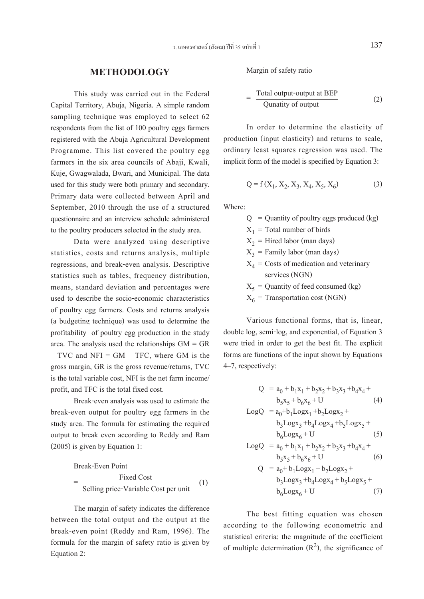#### **METHODOLOGY**

This study was carried out in the Federal Capital Territory, Abuja, Nigeria. A simple random sampling technique was employed to select 62 respondents from the list of 100 poultry eggs farmers registered with the Abuja Agricultural Development Programme. This list covered the poultry egg farmers in the six area councils of Abaji, Kwali, Kuje, Gwagwalada, Bwari, and Municipal. The data used for this study were both primary and secondary. Primary data were collected between April and September, 2010 through the use of a structured questionnaire and an interview schedule administered to the poultry producers selected in the study area.

Data were analyzed using descriptive statistics, costs and returns analysis, multiple regressions, and break-even analysis. Descriptive statistics such as tables, frequency distribution, means, standard deviation and percentages were used to describe the socio-economic characteristics of poultry egg farmers. Costs and returns analysis (a budgeting technique) was used to determine the profitability of poultry egg production in the study area. The analysis used the relationships GM = GR  $-$  TVC and NFI = GM  $-$  TFC, where GM is the gross margin, GR is the gross revenue/returns, TVC is the total variable cost, NFI is the net farm income/ profit, and TFC is the total fixed cost.

Break-even analysis was used to estimate the break-even output for poultry egg farmers in the study area. The formula for estimating the required output to break even according to Reddy and Ram (2005) is given by Equation 1:

Break-Even Point

\n
$$
= \frac{\text{Fixed Cost}}{\text{Selling price-Variable Cost per unit}} \quad (1)
$$

The margin of safety indicates the difference between the total output and the output at the break-even point (Reddy and Ram, 1996). The formula for the margin of safety ratio is given by Equation 2:

Margin of safety ratio

$$
= \frac{\text{Total output-output at BEP}}{\text{Quantity of output}}
$$
 (2)

In order to determine the elasticity of production (input elasticity) and returns to scale, ordinary least squares regression was used. The implicit form of the model is specified by Equation 3:

$$
Q = f(X_1, X_2, X_3, X_4, X_5, X_6)
$$
 (3)

Where:

 $Q =$  Quantity of poultry eggs produced (kg)

 $X_1$  = Total number of birds

 $X_2$  = Hired labor (man days)

 $X_3$  = Family labor (man days)

- $X_4$  = Costs of medication and veterinary services (NGN)
- $X_5$  = Quantity of feed consumed (kg)
- $X_6$  = Transportation cost (NGN)

Various functional forms, that is, linear, double log, semi-log, and exponential, of Equation 3 were tried in order to get the best fit. The explicit forms are functions of the input shown by Equations 4–7, respectively:

$$
Q = a_0 + b_1x_1 + b_2x_2 + b_3x_3 + b_4x_4 + b_5x_5 + b_6x_6 + U
$$
 (4)

$$
LogQ = a_0 + b_1 Logx_1 + b_2 Logx_2 + b_3 Logx_3 + b_4 Logx_4 + b_5 Logx_5 + b_6 Logx_6 + U
$$
 (5)

$$
LogQ = a_0 + b_1x_1 + b_2x_2 + b_3x_3 + b_4x_4 + b_5x_5 + b_6x_6 + U
$$
 (6)

$$
Q = a_0 + b_1 Logx_1 + b_2 Logx_2 +
$$
  
\n
$$
b_3 Logx_3 + b_4 Logx_4 + b_5 Logx_5 +
$$
  
\n
$$
b_6 Logx_6 + U
$$
 (7)

The best fitting equation was chosen according to the following econometric and statistical criteria: the magnitude of the coefficient of multiple determination  $(R^2)$ , the significance of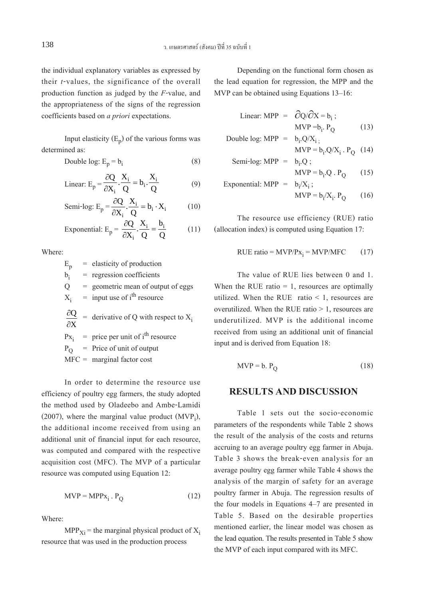the individual explanatory variables as expressed by their *t*-values, the significance of the overall production function as judged by the *F*-value, and the appropriateness of the signs of the regression coefficients based on *a priori* expectations.

Input elasticity  $(E_p)$  of the various forms was determined as:

Double log: 
$$
E_p = b_i
$$
 (8)

Linear: 
$$
E_p = \frac{\partial Q}{\partial X_i} \cdot \frac{X_i}{Q} = b_i \cdot \frac{X_i}{Q}
$$
 (9)

Semi-log: 
$$
E_p = \frac{\partial Q}{\partial X_i} \cdot \frac{X_i}{Q} = b_i \cdot X_i
$$
 (10)

Exponential: 
$$
E_p = \frac{\partial Q}{\partial X_i} \cdot \frac{X_i}{Q} = \frac{b_i}{Q}
$$
 (11)

Where:

 $E_p$  = elasticity of production<br>b<sub>i</sub> = regression coefficients  $b_i$  = regression coefficients<br>O = geometric mean of out  $=$  geometric mean of output of eggs  $X_i$  = input use of i<sup>th</sup> resource ∂ ∂  $\frac{Q}{X}$  = derivative of Q with respect to  $X_i$ 

 $Px_i$  = price per unit of i<sup>th</sup> resource<br>  $P_O$  = Price of unit of output

$$
MFC = marginal factor cost
$$

In order to determine the resource use efficiency of poultry egg farmers, the study adopted the method used by Oladeebo and Ambe-Lamidi (2007), where the marginal value product  $(MVP<sub>i</sub>)$ , the additional income received from using an additional unit of financial input for each resource, was computed and compared with the respective acquisition cost (MFC). The MVP of a particular resource was computed using Equation 12:

$$
MVP = MPPx_i . P_Q \t\t(12)
$$

Where:

 $MPP<sub>Xi</sub>$  = the marginal physical product of  $X<sub>i</sub>$ resource that was used in the production process

Depending on the functional form chosen as the lead equation for regression, the MPP and the MVP can be obtained using Equations 13–16:

Linear: MPP = 
$$
\partial Q / \partial X = b_i
$$
;  
MVP =b<sub>i</sub>. P<sub>Q</sub> (13)

Double log: MPP = 
$$
b_i \cdot Q/X_i
$$
;  
MVP =  $b_i \cdot Q/X_i$  .  $P_Q$  (14)

Semi-log: MPP = 
$$
b_i \cdot Q
$$
;  
MVP =  $b_i \cdot Q \cdot P_Q$  (15)

Exponential: MPP = 
$$
b_i/X_i
$$
;  
MVP =  $b_i/X_i$ . P<sub>Q</sub> (16)

The resource use efficiency (RUE) ratio (allocation index) is computed using Equation 17:

$$
RUE ratio = MVP/Px_i = MVP/MFC \qquad (17)
$$

The value of RUE lies between 0 and 1. When the RUE ratio  $= 1$ , resources are optimally utilized. When the RUE ratio  $\leq 1$ , resources are overutilized. When the RUE ratio  $> 1$ , resources are underutilized. MVP is the additional income received from using an additional unit of financial input and is derived from Equation 18:

$$
MVP = b. P_Q \tag{18}
$$

#### **RESULTS AND DISCUSSION**

Table 1 sets out the socio-economic parameters of the respondents while Table 2 shows the result of the analysis of the costs and returns accruing to an average poultry egg farmer in Abuja. Table 3 shows the break-even analysis for an average poultry egg farmer while Table 4 shows the analysis of the margin of safety for an average poultry farmer in Abuja. The regression results of the four models in Equations 4–7 are presented in Table 5. Based on the desirable properties mentioned earlier, the linear model was chosen as the lead equation. The results presented in Table 5 show the MVP of each input compared with its MFC.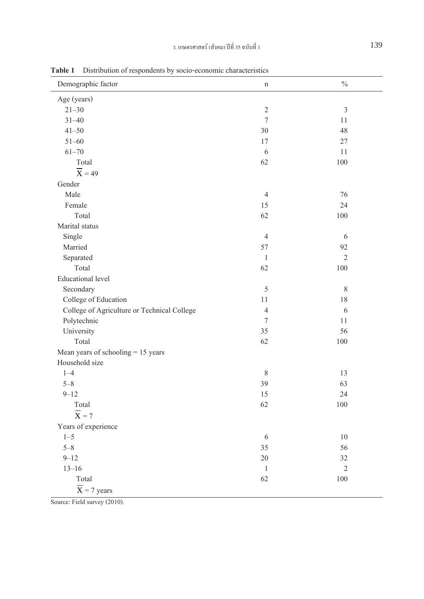| Demographic factor                          | $\mathbf n$    | $\frac{0}{0}$  |
|---------------------------------------------|----------------|----------------|
| Age (years)                                 |                |                |
| $21 - 30$                                   | $\sqrt{2}$     | $\overline{3}$ |
| $31 - 40$                                   | $\overline{7}$ | 11             |
| $41 - 50$                                   | 30             | 48             |
| $51 - 60$                                   | 17             | 27             |
| $61 - 70$                                   | 6              | 11             |
| Total                                       | 62             | 100            |
| $\overline{X}$ = 49                         |                |                |
| Gender                                      |                |                |
| Male                                        | $\overline{4}$ | 76             |
| Female                                      | 15             | 24             |
| Total                                       | 62             | 100            |
| Marital status                              |                |                |
| Single                                      | $\overline{4}$ | 6              |
| Married                                     | 57             | 92             |
| Separated                                   | $\mathbf{1}$   | $\overline{2}$ |
| Total                                       | 62             | 100            |
| <b>Educational</b> level                    |                |                |
| Secondary                                   | 5              | 8              |
| College of Education                        | 11             | 18             |
| College of Agriculture or Technical College | $\overline{4}$ | 6              |
| Polytechnic                                 | $\overline{7}$ | 11             |
| University                                  | 35             | 56             |
| Total                                       | 62             | 100            |
| Mean years of schooling $= 15$ years        |                |                |
| Household size                              |                |                |
| $1 - 4$                                     | $\,$ 8 $\,$    | 13             |
| $5 - 8$                                     | 39             | 63             |
| $9 - 12$                                    | 15             | 24             |
| Total                                       | 62             | 100            |
| $\overline{X} = 7$                          |                |                |
| Years of experience                         |                |                |
| $1 - 5$                                     | 6              | 10             |
| $5 - 8$                                     | 35             | 56             |
| $9 - 12$                                    | 20             | 32             |
| $13 - 16$                                   | $\,1$          | $\overline{2}$ |
| Total                                       | 62             | 100            |
| $\overline{X}$ = 7 years                    |                |                |

**Table 1** Distribution of respondents by socio-economic characteristics

Source: Field survey (2010).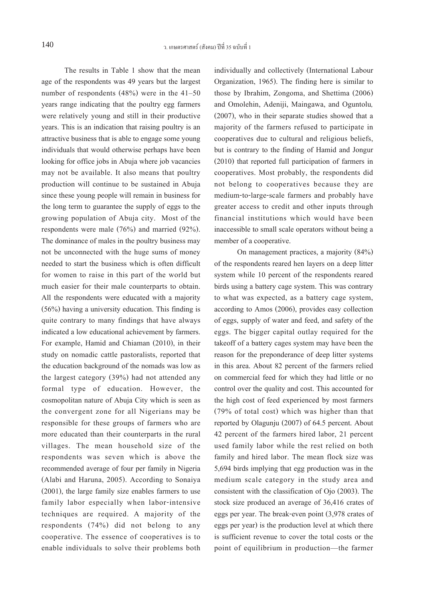The results in Table 1 show that the mean age of the respondents was 49 years but the largest number of respondents (48%) were in the 41–50 years range indicating that the poultry egg farmers were relatively young and still in their productive years. This is an indication that raising poultry is an attractive business that is able to engage some young individuals that would otherwise perhaps have been looking for office jobs in Abuja where job vacancies may not be available. It also means that poultry production will continue to be sustained in Abuja since these young people will remain in business for the long term to guarantee the supply of eggs to the growing population of Abuja city. Most of the respondents were male (76%) and married (92%). The dominance of males in the poultry business may not be unconnected with the huge sums of money needed to start the business which is often difficult for women to raise in this part of the world but much easier for their male counterparts to obtain. All the respondents were educated with a majority (56%) having a university education. This finding is quite contrary to many findings that have always indicated a low educational achievement by farmers. For example, Hamid and Chiaman (2010), in their study on nomadic cattle pastoralists, reported that the education background of the nomads was low as the largest category (39%) had not attended any formal type of education. However, the cosmopolitan nature of Abuja City which is seen as the convergent zone for all Nigerians may be responsible for these groups of farmers who are more educated than their counterparts in the rural villages. The mean household size of the respondents was seven which is above the recommended average of four per family in Nigeria (Alabi and Haruna, 2005). According to Sonaiya (2001), the large family size enables farmers to use family labor especially when labor-intensive techniques are required. A majority of the respondents (74%) did not belong to any cooperative. The essence of cooperatives is to enable individuals to solve their problems both

individually and collectively (International Labour Organization, 1965). The finding here is similar to those by Ibrahim, Zongoma, and Shettima (2006) and Omolehin, Adeniji, Maingawa, and Oguntolu*,* (2007), who in their separate studies showed that a majority of the farmers refused to participate in cooperatives due to cultural and religious beliefs, but is contrary to the finding of Hamid and Jongur (2010) that reported full participation of farmers in cooperatives. Most probably, the respondents did not belong to cooperatives because they are medium-to-large-scale farmers and probably have greater access to credit and other inputs through financial institutions which would have been inaccessible to small scale operators without being a member of a cooperative.

On management practices, a majority (84%) of the respondents reared hen layers on a deep litter system while 10 percent of the respondents reared birds using a battery cage system. This was contrary to what was expected, as a battery cage system, according to Amos (2006), provides easy collection of eggs, supply of water and feed, and safety of the eggs. The bigger capital outlay required for the takeoff of a battery cages system may have been the reason for the preponderance of deep litter systems in this area. About 82 percent of the farmers relied on commercial feed for which they had little or no control over the quality and cost. This accounted for the high cost of feed experienced by most farmers (79% of total cost) which was higher than that reported by Olagunju (2007) of 64.5 percent. About 42 percent of the farmers hired labor, 21 percent used family labor while the rest relied on both family and hired labor. The mean flock size was 5,694 birds implying that egg production was in the medium scale category in the study area and consistent with the classification of Ojo (2003). The stock size produced an average of 36,416 crates of eggs per year. The break-even point (3,978 crates of eggs per year) is the production level at which there is sufficient revenue to cover the total costs or the point of equilibrium in production—the farmer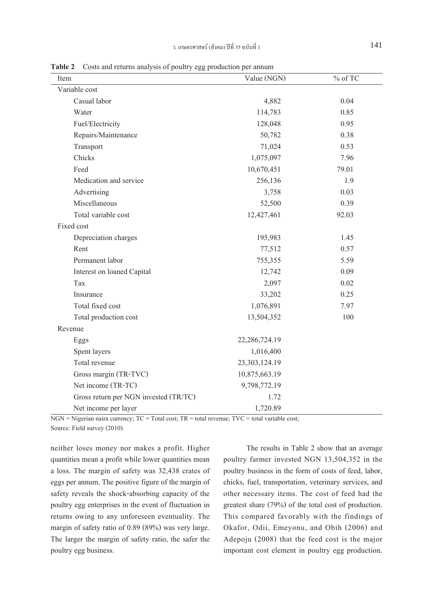| Item                       | Value (NGN)   | $\%$ of TC |
|----------------------------|---------------|------------|
| Variable cost              |               |            |
| Casual labor               | 4,882         | 0.04       |
| Water                      | 114,783       | 0.85       |
| Fuel/Electricity           | 128,048       | 0.95       |
| Repairs/Maintenance        | 50,782        | 0.38       |
| Transport                  | 71,024        | 0.53       |
| Chicks                     | 1,075,097     | 7.96       |
| Feed                       | 10,670,451    | 79.01      |
| Medication and service     | 256,136       | 1.9        |
| Advertising                | 3,758         | 0.03       |
| Miscellaneous              | 52,500        | 0.39       |
| Total variable cost        | 12,427,461    | 92.03      |
| Fixed cost                 |               |            |
| Depreciation charges       | 195,983       | 1.45       |
| Rent                       | 77,512        | 0.57       |
| Permanent labor            | 755,355       | 5.59       |
| Interest on loaned Capital | 12,742        | 0.09       |
| Tax                        | 2,097         | 0.02       |
| Insurance                  | 33,202        | 0.25       |
| Total fixed cost           | 1,076,891     | 7.97       |
| Total production cost      | 13,504,352    | 100        |
| Revenue                    |               |            |
| Eggs                       | 22,286,724.19 |            |

**Table 2** Costs and returns analysis of noultry egg production per annum

Net income per layer 1,720.89 NGN = Nigerian naira currency; TC = Total cost; TR = total revenue; TVC = total variable cost; Source: Field survey (2010).

Spent layers 1,016,400 Total revenue 23,303,124.19 Gross margin (TR-TVC) 10,875,663.19 Net income (TR-TC) 9,798,772.19 Gross return per NGN invested (TR/TC) 1.72

neither loses money nor makes a profit. Higher quantities mean a profit while lower quantities mean a loss. The margin of safety was 32,438 crates of eggs per annum. The positive figure of the margin of safety reveals the shock-absorbing capacity of the poultry egg enterprises in the event of fluctuation in returns owing to any unforeseen eventuality. The margin of safety ratio of 0.89 (89%) was very large. The larger the margin of safety ratio, the safer the poultry egg business.

The results in Table 2 show that an average poultry farmer invested NGN 13,504,352 in the poultry business in the form of costs of feed, labor, chicks, fuel, transportation, veterinary services, and other necessary items. The cost of feed had the greatest share (79%) of the total cost of production. This compared favorably with the findings of Okafor, Odii, Emeyonu, and Obih (2006) and Adepoju (2008) that the feed cost is the major important cost element in poultry egg production.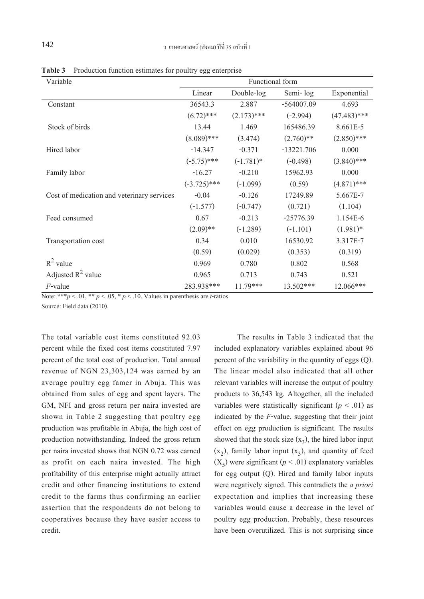| Variable                                   | Functional form |               |              |                |
|--------------------------------------------|-----------------|---------------|--------------|----------------|
|                                            | Linear          | Double-log    | Semi-log     | Exponential    |
| Constant                                   | 36543.3         | 2.887         | $-564007.09$ | 4.693          |
|                                            | $(6.72)$ ***    | $(2.173)$ *** | $(-2.994)$   | $(47.483)$ *** |
| Stock of birds                             | 13.44           | 1.469         | 165486.39    | 8.661E-5       |
|                                            | $(8.089)$ ***   | (3.474)       | $(2.760)$ ** | $(2.850)$ ***  |
| Hired labor                                | $-14.347$       | $-0.371$      | $-13221.706$ | 0.000          |
|                                            | $(-5.75)$ ***   | $(-1.781)*$   | $(-0.498)$   | $(3.840)$ ***  |
| Family labor                               | $-16.27$        | $-0.210$      | 15962.93     | 0.000          |
|                                            | $(-3.725)$ ***  | $(-1.099)$    | (0.59)       | $(4.871)$ ***  |
| Cost of medication and veterinary services | $-0.04$         | $-0.126$      | 17249.89     | 5.667E-7       |
|                                            | $(-1.577)$      | $(-0.747)$    | (0.721)      | (1.104)        |
| Feed consumed                              | 0.67            | $-0.213$      | $-25776.39$  | 1.154E-6       |
|                                            | $(2.09)$ **     | $(-1.289)$    | $(-1.101)$   | $(1.981)*$     |
| Transportation cost                        | 0.34            | 0.010         | 16530.92     | 3.317E-7       |
|                                            | (0.59)          | (0.029)       | (0.353)      | (0.319)        |
| $R^2$ value                                | 0.969           | 0.780         | 0.802        | 0.568          |
| Adjusted $R^2$ value                       | 0.965           | 0.713         | 0.743        | 0.521          |
| $F$ -value                                 | 283.938***      | $11.79***$    | 13.502***    | $12.066***$    |

**Table 3** Production function estimates for poultry egg enterprise

Note: \*\*\* $p < .01$ , \*\*  $p < .05$ , \*  $p < .10$ . Values in parenthesis are *t*-ratios.

Source: Field data (2010).

The total variable cost items constituted 92.03 percent while the fixed cost items constituted 7.97 percent of the total cost of production. Total annual revenue of NGN 23,303,124 was earned by an average poultry egg famer in Abuja. This was obtained from sales of egg and spent layers. The GM, NFI and gross return per naira invested are shown in Table 2 suggesting that poultry egg production was profitable in Abuja, the high cost of production notwithstanding. Indeed the gross return per naira invested shows that NGN 0.72 was earned as profit on each naira invested. The high profitability of this enterprise might actually attract credit and other financing institutions to extend credit to the farms thus confirming an earlier assertion that the respondents do not belong to cooperatives because they have easier access to credit.

The results in Table 3 indicated that the included explanatory variables explained about 96 percent of the variability in the quantity of eggs (Q). The linear model also indicated that all other relevant variables will increase the output of poultry products to 36,543 kg. Altogether, all the included variables were statistically significant  $(p < .01)$  as indicated by the *F*-value, suggesting that their joint effect on egg production is significant. The results showed that the stock size  $(x_3)$ , the hired labor input  $(x_2)$ , family labor input  $(x_3)$ , and quantity of feed  $(X<sub>5</sub>)$  were significant ( $p < .01$ ) explanatory variables for egg output (Q). Hired and family labor inputs were negatively signed. This contradicts the *a priori* expectation and implies that increasing these variables would cause a decrease in the level of poultry egg production. Probably, these resources have been overutilized. This is not surprising since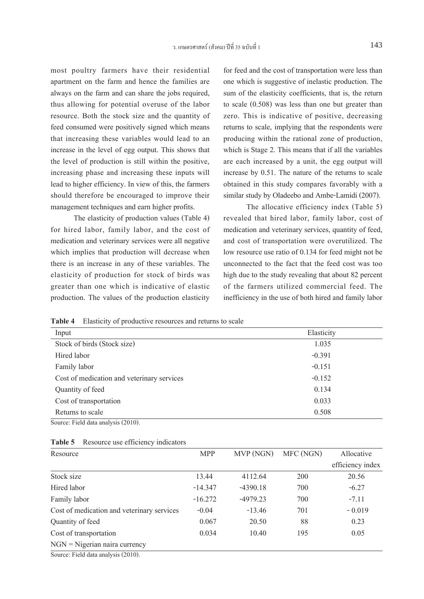most poultry farmers have their residential apartment on the farm and hence the families are always on the farm and can share the jobs required, thus allowing for potential overuse of the labor resource. Both the stock size and the quantity of feed consumed were positively signed which means that increasing these variables would lead to an increase in the level of egg output. This shows that the level of production is still within the positive, increasing phase and increasing these inputs will lead to higher efficiency. In view of this, the farmers should therefore be encouraged to improve their management techniques and earn higher profits.

The elasticity of production values (Table 4) for hired labor, family labor, and the cost of medication and veterinary services were all negative which implies that production will decrease when there is an increase in any of these variables. The elasticity of production for stock of birds was greater than one which is indicative of elastic production. The values of the production elasticity

for feed and the cost of transportation were less than one which is suggestive of inelastic production. The sum of the elasticity coefficients, that is, the return to scale (0.508) was less than one but greater than zero. This is indicative of positive, decreasing returns to scale, implying that the respondents were producing within the rational zone of production, which is Stage 2. This means that if all the variables are each increased by a unit, the egg output will increase by 0.51. The nature of the returns to scale obtained in this study compares favorably with a similar study by Oladeebo and Ambe-Lamidi (2007).

The allocative efficiency index (Table 5) revealed that hired labor, family labor, cost of medication and veterinary services, quantity of feed, and cost of transportation were overutilized. The low resource use ratio of 0.134 for feed might not be unconnected to the fact that the feed cost was too high due to the study revealing that about 82 percent of the farmers utilized commercial feed. The inefficiency in the use of both hired and family labor

**Table 4** Elasticity of productive resources and returns to scale

| Input                                                   | Elasticity |
|---------------------------------------------------------|------------|
| Stock of birds (Stock size)                             | 1.035      |
| Hired labor                                             | $-0.391$   |
| Family labor                                            | $-0.151$   |
| Cost of medication and veterinary services              | $-0.152$   |
| Quantity of feed                                        | 0.134      |
| Cost of transportation                                  | 0.033      |
| Returns to scale<br>the contract of the contract of the | 0.508      |

Source: Field data analysis (2010).

| Table 5 Resource use efficiency indicators |  |
|--------------------------------------------|--|
|--------------------------------------------|--|

| Resource                                   | <b>MPP</b> | MVP (NGN)  | MFC (NGN) | Allocative       |
|--------------------------------------------|------------|------------|-----------|------------------|
|                                            |            |            |           | efficiency index |
| Stock size                                 | 13.44      | 4112.64    | 200       | 20.56            |
| Hired labor                                | $-14.347$  | $-4390.18$ | 700       | $-6.27$          |
| Family labor                               | $-16.272$  | $-4979.23$ | 700       | $-7.11$          |
| Cost of medication and veterinary services | $-0.04$    | $-13.46$   | 701       | $-0.019$         |
| Quantity of feed                           | 0.067      | 20.50      | 88        | 0.23             |
| Cost of transportation                     | 0.034      | 10.40      | 195       | 0.05             |
| $NGN = Nigenian naira currency$            |            |            |           |                  |
| Source: Field data analysis (2010)         |            |            |           |                  |

Source: Field data analysis (2010).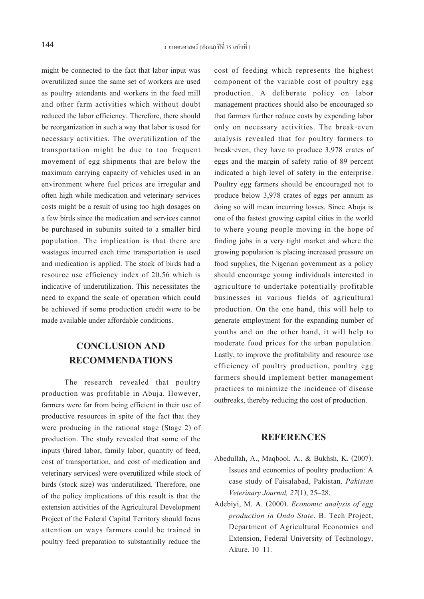might be connected to the fact that labor input was overutilized since the same set of workers are used as poultry attendants and workers in the feed mill and other farm activities which without doubt reduced the labor efficiency. Therefore, there should be reorganization in such a way that labor is used for necessary activities. The overutilization of the transportation might be due to too frequent movement of egg shipments that are below the maximum carrying capacity of vehicles used in an environment where fuel prices are irregular and often high while medication and veterinary services costs might be a result of using too high dosages on a few birds since the medication and services cannot be purchased in subunits suited to a smaller bird population. The implication is that there are wastages incurred each time transportation is used and medication is applied. The stock of birds had a resource use efficiency index of 20.56 which is indicative of underutilization. This necessitates the need to expand the scale of operation which could be achieved if some production credit were to be made available under affordable conditions.

## **CONCLUSION AND RECOMMENDATIONS**

The research revealed that poultry production was profitable in Abuja. However, farmers were far from being efficient in their use of productive resources in spite of the fact that they were producing in the rational stage (Stage 2) of production. The study revealed that some of the inputs (hired labor, family labor, quantity of feed, cost of transportation, and cost of medication and veterinary services) were overutilized while stock of birds (stock size) was underutilized. Therefore, one of the policy implications of this result is that the extension activities of the Agricultural Development Project of the Federal Capital Territory should focus attention on ways farmers could be trained in poultry feed preparation to substantially reduce the

cost of feeding which represents the highest component of the variable cost of poultry egg production. A deliberate policy on labor management practices should also be encouraged so that farmers further reduce costs by expending labor only on necessary activities. The break-even analysis revealed that for poultry farmers to break-even, they have to produce 3,978 crates of eggs and the margin of safety ratio of 89 percent indicated a high level of safety in the enterprise. Poultry egg farmers should be encouraged not to produce below 3,978 crates of eggs per annum as doing so will mean incurring losses. Since Abuja is one of the fastest growing capital cities in the world to where young people moving in the hope of finding jobs in a very tight market and where the growing population is placing increased pressure on food supplies, the Nigerian government as a policy should encourage young individuals interested in agriculture to undertake potentially profitable businesses in various fields of agricultural production. On the one hand, this will help to generate employment for the expanding number of youths and on the other hand, it will help to moderate food prices for the urban population. Lastly, to improve the profitability and resource use efficiency of poultry production, poultry egg farmers should implement better management practices to minimize the incidence of disease outbreaks, thereby reducing the cost of production.

#### **REFERENCES**

- Abedullah, A., Maqbool, A., & Bukhsh, K. (2007). Issues and economics of poultry production: A case study of Faisalabad, Pakistan. *Pakistan Veterinary Journal, 27*(1), 25–28.
- Adebiyi, M. A. (2000). *Economic analysis of egg production in Ondo State*. B. Tech Project, Department of Agricultural Economics and Extension, Federal University of Technology, Akure. 10–11.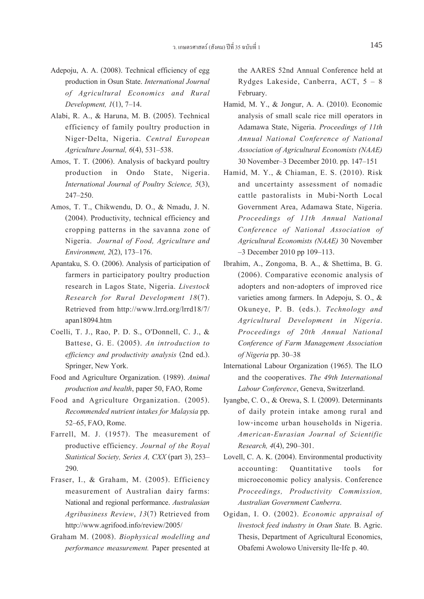- Adepoju, A. A. (2008). Technical efficiency of egg production in Osun State. *International Journal of Agricultural Economics and Rural Development,1*(1), 7–14.
- Alabi, R. A., & Haruna, M. B. (2005). Technical efficiency of family poultry production in Niger-Delta, Nigeria. *Central European Agriculture Journal, 6*(4), 531–538.
- Amos, T. T. (2006). Analysis of backyard poultry production in Ondo State, Nigeria. *International Journal of Poultry Science, 5*(3), 247–250.
- Amos, T. T., Chikwendu, D. O., & Nmadu, J. N. (2004). Productivity, technical efficiency and cropping patterns in the savanna zone of Nigeria. *Journal of Food, Agriculture and Environment, 2*(2), 173–176.
- Apantaku, S. O. (2006). Analysis of participation of farmers in participatory poultry production research in Lagos State, Nigeria. *Livestock Research for Rural Development 18*(7). Retrieved from http://www.lrrd.org/lrrd18/7/ apan18094.htm
- Coelli, T. J., Rao, P. D. S., O'Donnell, C. J., & Battese, G. E. (2005). *An introduction to efficiency and productivity analysis* (2nd ed.). Springer, New York.
- Food and Agriculture Organization. (1989). *Animal production and health*, paper 50, FAO, Rome
- Food and Agriculture Organization. (2005). *Recommended nutrient intakes for Malaysia* pp. 52–65, FAO, Rome.
- Farrell, M. J. (1957). The measurement of productive efficiency. *Journal of the Royal Statistical Society, Series A, CXX* (part 3), 253– 290.
- Fraser, I., & Graham, M. (2005). Efficiency measurement of Australian dairy farms: National and regional performance. *Australasian Agribusiness Review*, *13*(7) Retrieved from http://www.agrifood.info/review/2005/
- Graham M. (2008). *Biophysical modelling and performance measurement.* Paper presented at

the AARES 52nd Annual Conference held at Rydges Lakeside, Canberra, ACT, 5 – 8 February.

- Hamid, M. Y., & Jongur, A. A. (2010). Economic analysis of small scale rice mill operators in Adamawa State, Nigeria. *Proceedings of 11th Annual National Conference of National Association of Agricultural Economists (NAAE)* 30 November–3 December 2010. pp. 147–151
- Hamid, M. Y., & Chiaman, E. S. (2010). Risk and uncertainty assessment of nomadic cattle pastoralists in Mubi-North Local Government Area, Adamawa State, Nigeria. *Proceedings of 11th Annual National Conference of National Association of Agricultural Economists (NAAE)* 30 November –3 December 2010 pp 109–113.
- Ibrahim, A., Zongoma, B. A., & Shettima, B. G. (2006). Comparative economic analysis of adopters and non-adopters of improved rice varieties among farmers. In Adepoju, S. O., & Okuneye, P. B. (eds.). *Technology and Agricultural Development in Nigeria*. *Proceedings of 20th Annual National Conference of Farm Management Association of Nigeria* pp. 30–38
- International Labour Organization (1965). The ILO and the cooperatives. *The 49th International Labour Conference*, Geneva, Switzerland.
- Iyangbe, C. O., & Orewa, S. I. (2009). Determinants of daily protein intake among rural and low-income urban households in Nigeria. *American-Eurasian Journal of Scientific Research, 4*(4), 290–301.
- Lovell, C. A. K. (2004). Environmental productivity accounting: Quantitative tools for microeconomic policy analysis. Conference *Proceedings, Productivity Commission, Australian Government Canberra*. Ogidan, I. O. (2002). *Economic appraisal of*
- *livestock feed industry in Osun State.* B. Agric. Thesis, Department of Agricultural Economics, Obafemi Awolowo University Ile-Ife p. 40.